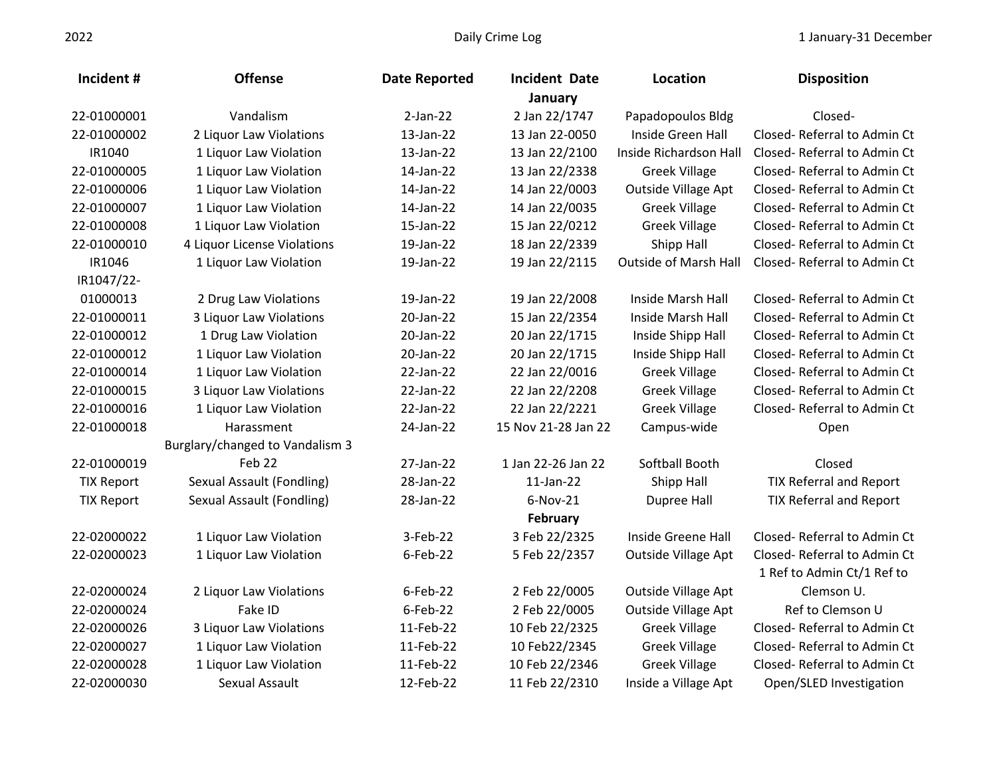| Incident#         | <b>Offense</b>                  | <b>Date Reported</b> | <b>Incident Date</b> | Location                     | <b>Disposition</b>             |
|-------------------|---------------------------------|----------------------|----------------------|------------------------------|--------------------------------|
|                   |                                 |                      | January              |                              |                                |
| 22-01000001       | Vandalism                       | $2-Jan-22$           | 2 Jan 22/1747        | Papadopoulos Bldg            | Closed-                        |
| 22-01000002       | 2 Liquor Law Violations         | 13-Jan-22            | 13 Jan 22-0050       | Inside Green Hall            | Closed-Referral to Admin Ct    |
| IR1040            | 1 Liquor Law Violation          | 13-Jan-22            | 13 Jan 22/2100       | Inside Richardson Hall       | Closed-Referral to Admin Ct    |
| 22-01000005       | 1 Liquor Law Violation          | 14-Jan-22            | 13 Jan 22/2338       | <b>Greek Village</b>         | Closed-Referral to Admin Ct    |
| 22-01000006       | 1 Liquor Law Violation          | 14-Jan-22            | 14 Jan 22/0003       | Outside Village Apt          | Closed-Referral to Admin Ct    |
| 22-01000007       | 1 Liquor Law Violation          | 14-Jan-22            | 14 Jan 22/0035       | <b>Greek Village</b>         | Closed-Referral to Admin Ct    |
| 22-01000008       | 1 Liquor Law Violation          | 15-Jan-22            | 15 Jan 22/0212       | <b>Greek Village</b>         | Closed-Referral to Admin Ct    |
| 22-01000010       | 4 Liquor License Violations     | 19-Jan-22            | 18 Jan 22/2339       | Shipp Hall                   | Closed-Referral to Admin Ct    |
| IR1046            | 1 Liquor Law Violation          | 19-Jan-22            | 19 Jan 22/2115       | <b>Outside of Marsh Hall</b> | Closed-Referral to Admin Ct    |
| IR1047/22-        |                                 |                      |                      |                              |                                |
| 01000013          | 2 Drug Law Violations           | 19-Jan-22            | 19 Jan 22/2008       | Inside Marsh Hall            | Closed-Referral to Admin Ct    |
| 22-01000011       | 3 Liquor Law Violations         | 20-Jan-22            | 15 Jan 22/2354       | Inside Marsh Hall            | Closed-Referral to Admin Ct    |
| 22-01000012       | 1 Drug Law Violation            | 20-Jan-22            | 20 Jan 22/1715       | Inside Shipp Hall            | Closed-Referral to Admin Ct    |
| 22-01000012       | 1 Liquor Law Violation          | 20-Jan-22            | 20 Jan 22/1715       | Inside Shipp Hall            | Closed-Referral to Admin Ct    |
| 22-01000014       | 1 Liquor Law Violation          | 22-Jan-22            | 22 Jan 22/0016       | <b>Greek Village</b>         | Closed-Referral to Admin Ct    |
| 22-01000015       | 3 Liquor Law Violations         | 22-Jan-22            | 22 Jan 22/2208       | <b>Greek Village</b>         | Closed-Referral to Admin Ct    |
| 22-01000016       | 1 Liquor Law Violation          | 22-Jan-22            | 22 Jan 22/2221       | <b>Greek Village</b>         | Closed-Referral to Admin Ct    |
| 22-01000018       | Harassment                      | 24-Jan-22            | 15 Nov 21-28 Jan 22  | Campus-wide                  | Open                           |
|                   | Burglary/changed to Vandalism 3 |                      |                      |                              |                                |
| 22-01000019       | Feb 22                          | 27-Jan-22            | 1 Jan 22-26 Jan 22   | Softball Booth               | Closed                         |
| <b>TIX Report</b> | Sexual Assault (Fondling)       | 28-Jan-22            | 11-Jan-22            | Shipp Hall                   | <b>TIX Referral and Report</b> |
| <b>TIX Report</b> | Sexual Assault (Fondling)       | 28-Jan-22            | 6-Nov-21             | <b>Dupree Hall</b>           | <b>TIX Referral and Report</b> |
|                   |                                 |                      | February             |                              |                                |
| 22-02000022       | 1 Liquor Law Violation          | 3-Feb-22             | 3 Feb 22/2325        | Inside Greene Hall           | Closed-Referral to Admin Ct    |
| 22-02000023       | 1 Liquor Law Violation          | $6$ -Feb-22          | 5 Feb 22/2357        | Outside Village Apt          | Closed-Referral to Admin Ct    |
|                   |                                 |                      |                      |                              | 1 Ref to Admin Ct/1 Ref to     |
| 22-02000024       | 2 Liquor Law Violations         | 6-Feb-22             | 2 Feb 22/0005        | Outside Village Apt          | Clemson U.                     |
| 22-02000024       | Fake ID                         | $6$ -Feb-22          | 2 Feb 22/0005        | Outside Village Apt          | Ref to Clemson U               |
| 22-02000026       | 3 Liquor Law Violations         | 11-Feb-22            | 10 Feb 22/2325       | <b>Greek Village</b>         | Closed-Referral to Admin Ct    |
| 22-02000027       | 1 Liquor Law Violation          | 11-Feb-22            | 10 Feb22/2345        | <b>Greek Village</b>         | Closed-Referral to Admin Ct    |
| 22-02000028       | 1 Liquor Law Violation          | 11-Feb-22            | 10 Feb 22/2346       | <b>Greek Village</b>         | Closed-Referral to Admin Ct    |
| 22-02000030       | Sexual Assault                  | 12-Feb-22            | 11 Feb 22/2310       | Inside a Village Apt         | Open/SLED Investigation        |